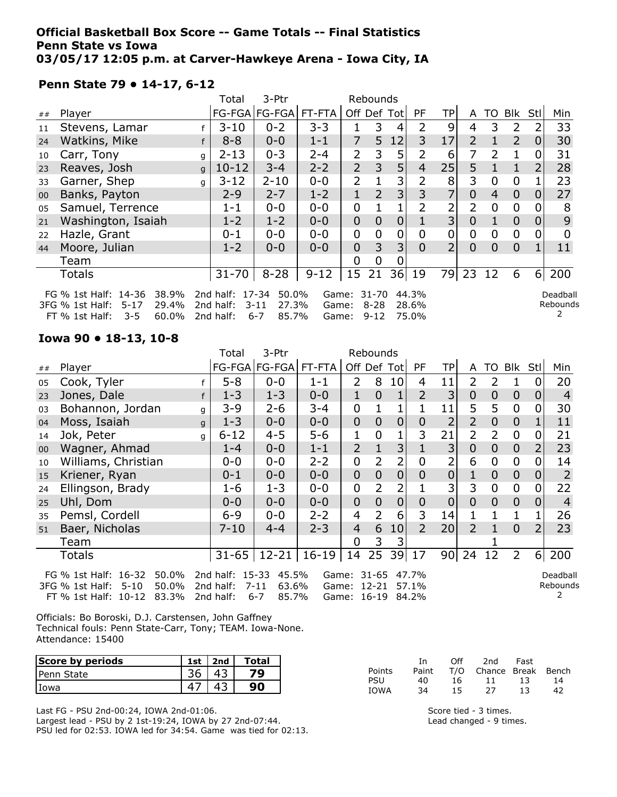### Official Basketball Box Score -- Game Totals -- Final Statistics Penn State vs Iowa 03/05/17 12:05 p.m. at Carver-Hawkeye Arena - Iowa City, IA

### Penn State 79 • 14-17, 6-12

|    |                                                                                                                |              | Total                                     | 3-Ptr                                          |                         |                | Rebounds                      |    |                         |                |                |                |                |          |                      |
|----|----------------------------------------------------------------------------------------------------------------|--------------|-------------------------------------------|------------------------------------------------|-------------------------|----------------|-------------------------------|----|-------------------------|----------------|----------------|----------------|----------------|----------|----------------------|
| ## | Player                                                                                                         |              |                                           | FG-FGA FG-FGA                                  | FT-FTA                  |                | Off Def Tot                   |    | <b>PF</b>               | ТP             | A              |                | TO Blk         | Stl      | Min                  |
| 11 | Stevens, Lamar                                                                                                 |              | $3 - 10$                                  | $0 - 2$                                        | $3 - 3$                 |                | 3                             | 4  | 2                       | 9              | 4              | 3              | $\overline{2}$ |          | 33                   |
| 24 | Watkins, Mike                                                                                                  |              | $8 - 8$                                   | $0 - 0$                                        | $1 - 1$                 | 7              | 5                             | 12 | 3                       | 17             | $\overline{2}$ |                | $\overline{2}$ | 0        | 30                   |
| 10 | Carr, Tony                                                                                                     | q            | $2 - 13$                                  | $0 - 3$                                        | $2 - 4$                 | 2              | 3                             | 5  |                         | 6              |                | $\overline{2}$ |                |          | 31                   |
| 23 | Reaves, Josh                                                                                                   | $\mathsf{q}$ | $10 - 12$                                 | $3 - 4$                                        | $2 - 2$                 | $\overline{2}$ | 3                             | 5  | $\overline{4}$          | 25             | 5              |                | $\mathbf{1}$   |          | 28                   |
| 33 | Garner, Shep                                                                                                   | q            | $3 - 12$                                  | $2 - 10$                                       | $0 - 0$                 | $\overline{2}$ |                               | 3  | $\overline{2}$          | 8              | 3              | 0              | $\overline{0}$ |          | 23                   |
| 00 | Banks, Payton                                                                                                  |              | $2 - 9$                                   | $2 - 7$                                        | $1 - 2$                 | $\mathbf{1}$   | $\overline{2}$                | 3  | 3                       | 7              | $\overline{0}$ | $\overline{4}$ | $\overline{0}$ | 0        | 27                   |
| 05 | Samuel, Terrence                                                                                               |              | $1 - 1$                                   | $0 - 0$                                        | $0 - 0$                 | 0              |                               |    | 2                       | 2              | $\overline{2}$ | 0              | $\overline{0}$ |          | 8                    |
| 21 | Washington, Isaiah                                                                                             |              | $1 - 2$                                   | $1 - 2$                                        | $0 - 0$                 | $\overline{0}$ | 0                             | 0  |                         | $\overline{3}$ | $\overline{0}$ |                | $\overline{0}$ | Ο        | 9                    |
| 22 | Hazle, Grant                                                                                                   |              | $0 - 1$                                   | $0 - 0$                                        | $0 - 0$                 | 0              | 0                             | 0  | 0                       | 0              | 0              | $\overline{0}$ | $\mathbf 0$    | O        | <sup>0</sup>         |
| 44 | Moore, Julian                                                                                                  |              | $1 - 2$                                   | $0 - 0$                                        | $0 - 0$                 | $\overline{0}$ | 3                             | 3  | $\Omega$                | $\overline{2}$ | $\Omega$       | $\Omega$       | $\overline{0}$ |          | 11                   |
|    | Team                                                                                                           |              |                                           |                                                |                         | $\Omega$       | 0                             |    |                         |                |                |                |                |          |                      |
|    | Totals                                                                                                         |              | $31 - 70$                                 | $8 - 28$                                       | $9 - 12$                | 15             | 21                            | 36 | 19                      | 79             | 23             | 12             | 6              | $6 \mid$ | 200                  |
|    | 38.9%<br>FG % 1st Half: 14-36<br>29.4%<br>3FG % 1st Half:<br>$5 - 17$<br>60.0%<br>$FT \% 1st Half:$<br>$3 - 5$ |              | 2nd half: 17-34<br>2nd half:<br>2nd half: | 50.0%<br>$3 - 11$<br>27.3%<br>$6 - 7$<br>85.7% | Game:<br>Game:<br>Game: |                | 31-70<br>$8 - 28$<br>$9 - 12$ |    | 44.3%<br>28.6%<br>75.0% |                |                |                |                |          | Deadball<br>Rebounds |

### Iowa 90 • 18-13, 10-8

|        |                                                                                                                                                                                                             |   | Total    | 3-Ptr         |         |                | Rebounds       |                 |                |                 |                |                |                |                |                |
|--------|-------------------------------------------------------------------------------------------------------------------------------------------------------------------------------------------------------------|---|----------|---------------|---------|----------------|----------------|-----------------|----------------|-----------------|----------------|----------------|----------------|----------------|----------------|
| ##     | Player                                                                                                                                                                                                      |   |          | FG-FGA FG-FGA | FT-FTA  |                |                | Off Def Tot     | <b>PF</b>      | TPl             | A              | TO             | Blk            | Stll           | Min            |
| 05     | Cook, Tyler                                                                                                                                                                                                 |   | $5 - 8$  | $0 - 0$       | $1 - 1$ | 2              | 8              | 10 <sup>1</sup> | 4              | 11              | $\overline{2}$ | $\overline{2}$ | 1              | 0              | 20             |
| 23     | Jones, Dale                                                                                                                                                                                                 | f | $1 - 3$  | $1 - 3$       | $0 - 0$ | 1              | $\overline{0}$ | 1               | $\overline{2}$ | 3               | $\overline{0}$ | $\theta$       | $\mathbf{0}$   | $\overline{0}$ | $\overline{4}$ |
| 03     | Bohannon, Jordan                                                                                                                                                                                            | q | 3-9      | $2 - 6$       | $3 - 4$ | 0              | 1              |                 |                | 11              | 5              | 5              | $\mathbf 0$    | 0              | 30             |
| 04     | Moss, Isaiah                                                                                                                                                                                                | q | $1 - 3$  | $0 - 0$       | $0 - 0$ | $\overline{0}$ | $\overline{0}$ | $\overline{0}$  | $\overline{0}$ | $\overline{2}$  | $\overline{2}$ | $\theta$       | $\overline{0}$ | 1              | 11             |
| 14     | Jok, Peter                                                                                                                                                                                                  | q | $6 - 12$ | $4 - 5$       | $5 - 6$ | 1              | $\mathbf 0$    |                 | 3              | 21              | 2              | $\overline{2}$ | $\overline{0}$ | $\mathbf 0$    | 21             |
| $00\,$ | Wagner, Ahmad                                                                                                                                                                                               |   | $1 - 4$  | $0 - 0$       | $1 - 1$ | $\overline{2}$ | $\overline{1}$ | 3               |                | 3               | $\overline{0}$ | $\overline{0}$ | $\overline{0}$ | $\overline{2}$ | 23             |
| 10     | Williams, Christian                                                                                                                                                                                         |   | $0 - 0$  | $0 - 0$       | $2 - 2$ | 0              | $\overline{2}$ | $\overline{2}$  | $\mathbf 0$    | 2               | 6              | $\mathbf 0$    | $\mathbf 0$    | $\overline{0}$ | 14             |
| 15     | Kriener, Ryan                                                                                                                                                                                               |   | $0 - 1$  | $0 - 0$       | $0 - 0$ | $\overline{0}$ | $\overline{0}$ | $\overline{0}$  | $\overline{0}$ | $\overline{0}$  | 1              | $\overline{0}$ | $\overline{0}$ | 0              | $\overline{2}$ |
| 24     | Ellingson, Brady                                                                                                                                                                                            |   | $1 - 6$  | $1 - 3$       | $0 - 0$ | 0              | $\overline{2}$ | 2               |                | $\overline{3}$  | 3              | $\mathbf 0$    | $\mathbf 0$    | $\mathbf 0$    | 22             |
| 25     | Uhl, Dom                                                                                                                                                                                                    |   | $0 - 0$  | $0 - 0$       | $0 - 0$ | $\overline{0}$ | $\overline{0}$ | $\mathbf 0$     | $\overline{0}$ | $\overline{0}$  | $\Omega$       | $\overline{0}$ | $\overline{0}$ | 0              | $\overline{4}$ |
| 35     | Pemsl, Cordell                                                                                                                                                                                              |   | $6 - 9$  | $0 - 0$       | $2 - 2$ | $\overline{4}$ | 2              | 6               | 3              | 14              | 1              |                |                |                | 26             |
| 51     | Baer, Nicholas                                                                                                                                                                                              |   | $7 - 10$ | $4 - 4$       | $2 - 3$ | $\overline{4}$ | 6              | 10 <sub>l</sub> | $\overline{2}$ | 20 <sup>1</sup> | $\overline{2}$ | 1              | $\overline{0}$ | 2              | 23             |
|        | Team                                                                                                                                                                                                        |   |          |               |         | 0              | 3              | 3               |                |                 |                |                |                |                |                |
|        | $16 - 19$<br>39 17<br>24<br>$\overline{2}$<br>6 <sup>1</sup><br>200<br>$12 - 21$<br>14<br>25<br>90 <sub>1</sub><br>12<br>$31 - 65$<br>Totals                                                                |   |          |               |         |                |                |                 |                |                 |                |                |                |                |                |
|        | 2nd half: 15-33<br>FG % 1st Half: 16-32<br>50.0%<br>45.5%<br>Game: 31-65<br>47.7%<br>Deadball<br>Rebound:<br>50.0%<br>2nd half:<br>$7 - 11$<br>63.6%<br>Game: 12-21<br>3FG % 1st Half:<br>$5 - 10$<br>57.1% |   |          |               |         |                |                |                 |                |                 |                |                |                |                |                |

2nd half: 6-7 85.7%

Game: 16-19 84.2%

Rebounds 2

Officials: Bo Boroski, D.J. Carstensen, John Gaffney Technical fouls: Penn State-Carr, Tony; TEAM. Iowa-None. Attendance: 15400

| Score by periods | 1st | 2nd | <b>Total</b> |
|------------------|-----|-----|--------------|
| IPenn State      |     |     |              |
| l Iowa           |     |     |              |

Last FG - PSU 2nd-00:24, IOWA 2nd-01:06.

FT % 1st Half: 10-12 83.3%

Largest lead - PSU by 2 1st-19:24, IOWA by 27 2nd-07:44. PSU led for 02:53. IOWA led for 34:54. Game was tied for 02:13.

|        | Τn    | Off | 2nd                    | Fast |    |
|--------|-------|-----|------------------------|------|----|
| Points | Paint |     | T/O Chance Break Bench |      |    |
| PSU    | 40.   | 16. | 11                     | 13   | 14 |
| IOWA   | 34    | 15. | 27                     | 13   | 42 |

Score tied - 3 times. Lead changed - 9 times.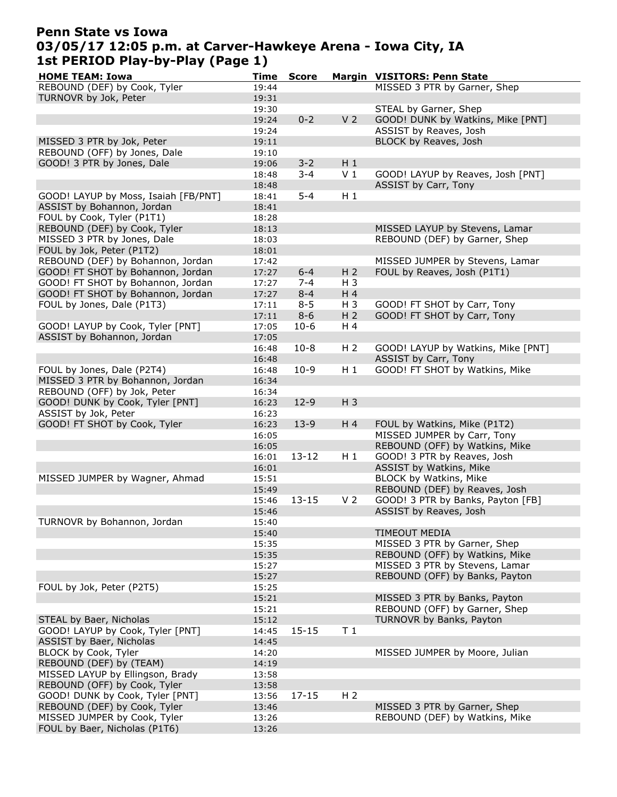# Penn State vs Iowa 03/05/17 12:05 p.m. at Carver-Hawkeye Arena - Iowa City, IA 1st PERIOD Play-by-Play (Page 1)

| <b>HOME TEAM: Iowa</b>                                          | <b>Time</b>    | <b>Score</b> |                | Margin VISITORS: Penn State        |
|-----------------------------------------------------------------|----------------|--------------|----------------|------------------------------------|
| REBOUND (DEF) by Cook, Tyler                                    | 19:44          |              |                | MISSED 3 PTR by Garner, Shep       |
| TURNOVR by Jok, Peter                                           | 19:31          |              |                |                                    |
|                                                                 | 19:30          |              |                | STEAL by Garner, Shep              |
|                                                                 | 19:24          | $0 - 2$      | V <sub>2</sub> | GOOD! DUNK by Watkins, Mike [PNT]  |
|                                                                 | 19:24          |              |                | ASSIST by Reaves, Josh             |
| MISSED 3 PTR by Jok, Peter                                      | 19:11          |              |                | BLOCK by Reaves, Josh              |
| REBOUND (OFF) by Jones, Dale                                    | 19:10          |              |                |                                    |
| GOOD! 3 PTR by Jones, Dale                                      | 19:06          | $3 - 2$      | $H_1$          |                                    |
|                                                                 | 18:48          | $3 - 4$      | V <sub>1</sub> | GOOD! LAYUP by Reaves, Josh [PNT]  |
|                                                                 | 18:48          |              |                | <b>ASSIST by Carr, Tony</b>        |
| GOOD! LAYUP by Moss, Isaiah [FB/PNT]                            | 18:41          | $5 - 4$      | $H_1$          |                                    |
| ASSIST by Bohannon, Jordan                                      | 18:41          |              |                |                                    |
| FOUL by Cook, Tyler (P1T1)                                      | 18:28          |              |                |                                    |
| REBOUND (DEF) by Cook, Tyler                                    | 18:13          |              |                | MISSED LAYUP by Stevens, Lamar     |
| MISSED 3 PTR by Jones, Dale                                     | 18:03          |              |                | REBOUND (DEF) by Garner, Shep      |
| FOUL by Jok, Peter (P1T2)                                       | 18:01          |              |                |                                    |
| REBOUND (DEF) by Bohannon, Jordan                               | 17:42          |              |                | MISSED JUMPER by Stevens, Lamar    |
| GOOD! FT SHOT by Bohannon, Jordan                               | 17:27          | $6 - 4$      | H <sub>2</sub> | FOUL by Reaves, Josh (P1T1)        |
| GOOD! FT SHOT by Bohannon, Jordan                               | 17:27          | $7 - 4$      | $H_3$          |                                    |
| GOOD! FT SHOT by Bohannon, Jordan                               | 17:27          | $8 - 4$      | H 4            |                                    |
| FOUL by Jones, Dale (P1T3)                                      | 17:11          | $8 - 5$      | $H_3$          | GOOD! FT SHOT by Carr, Tony        |
|                                                                 | 17:11          | $8 - 6$      | H <sub>2</sub> | GOOD! FT SHOT by Carr, Tony        |
| GOOD! LAYUP by Cook, Tyler [PNT]                                | 17:05          | $10-6$       | H 4            |                                    |
| ASSIST by Bohannon, Jordan                                      | 17:05          |              |                |                                    |
|                                                                 | 16:48          | $10 - 8$     | H <sub>2</sub> | GOOD! LAYUP by Watkins, Mike [PNT] |
|                                                                 | 16:48          |              |                | ASSIST by Carr, Tony               |
| FOUL by Jones, Dale (P2T4)                                      | 16:48          | $10-9$       | $H_1$          | GOOD! FT SHOT by Watkins, Mike     |
| MISSED 3 PTR by Bohannon, Jordan<br>REBOUND (OFF) by Jok, Peter | 16:34          |              |                |                                    |
| GOOD! DUNK by Cook, Tyler [PNT]                                 | 16:34<br>16:23 | $12-9$       | $H_3$          |                                    |
| ASSIST by Jok, Peter                                            | 16:23          |              |                |                                    |
| GOOD! FT SHOT by Cook, Tyler                                    | 16:23          | $13-9$       | H 4            | FOUL by Watkins, Mike (P1T2)       |
|                                                                 | 16:05          |              |                | MISSED JUMPER by Carr, Tony        |
|                                                                 | 16:05          |              |                | REBOUND (OFF) by Watkins, Mike     |
|                                                                 | 16:01          | $13 - 12$    | $H_1$          | GOOD! 3 PTR by Reaves, Josh        |
|                                                                 | 16:01          |              |                | ASSIST by Watkins, Mike            |
| MISSED JUMPER by Wagner, Ahmad                                  | 15:51          |              |                | BLOCK by Watkins, Mike             |
|                                                                 | 15:49          |              |                | REBOUND (DEF) by Reaves, Josh      |
|                                                                 | 15:46          | $13 - 15$    | V <sub>2</sub> | GOOD! 3 PTR by Banks, Payton [FB]  |
|                                                                 | 15:46          |              |                | ASSIST by Reaves, Josh             |
| TURNOVR by Bohannon, Jordan                                     | 15:40          |              |                |                                    |
|                                                                 | 15:40          |              |                | <b>TIMEOUT MEDIA</b>               |
|                                                                 | 15:35          |              |                | MISSED 3 PTR by Garner, Shep       |
|                                                                 | 15:35          |              |                | REBOUND (OFF) by Watkins, Mike     |
|                                                                 | 15:27          |              |                | MISSED 3 PTR by Stevens, Lamar     |
|                                                                 | 15:27          |              |                | REBOUND (OFF) by Banks, Payton     |
| FOUL by Jok, Peter (P2T5)                                       | 15:25          |              |                |                                    |
|                                                                 | 15:21          |              |                | MISSED 3 PTR by Banks, Payton      |
|                                                                 | 15:21          |              |                | REBOUND (OFF) by Garner, Shep      |
| STEAL by Baer, Nicholas                                         | 15:12          |              |                | TURNOVR by Banks, Payton           |
| GOOD! LAYUP by Cook, Tyler [PNT]                                | 14:45          | $15 - 15$    | T <sub>1</sub> |                                    |
| ASSIST by Baer, Nicholas                                        | 14:45          |              |                |                                    |
| BLOCK by Cook, Tyler<br>REBOUND (DEF) by (TEAM)                 | 14:20          |              |                | MISSED JUMPER by Moore, Julian     |
| MISSED LAYUP by Ellingson, Brady                                | 14:19<br>13:58 |              |                |                                    |
| REBOUND (OFF) by Cook, Tyler                                    | 13:58          |              |                |                                    |
| GOOD! DUNK by Cook, Tyler [PNT]                                 | 13:56          | $17 - 15$    | H <sub>2</sub> |                                    |
| REBOUND (DEF) by Cook, Tyler                                    | 13:46          |              |                | MISSED 3 PTR by Garner, Shep       |
| MISSED JUMPER by Cook, Tyler                                    | 13:26          |              |                | REBOUND (DEF) by Watkins, Mike     |
| FOUL by Baer, Nicholas (P1T6)                                   | 13:26          |              |                |                                    |
|                                                                 |                |              |                |                                    |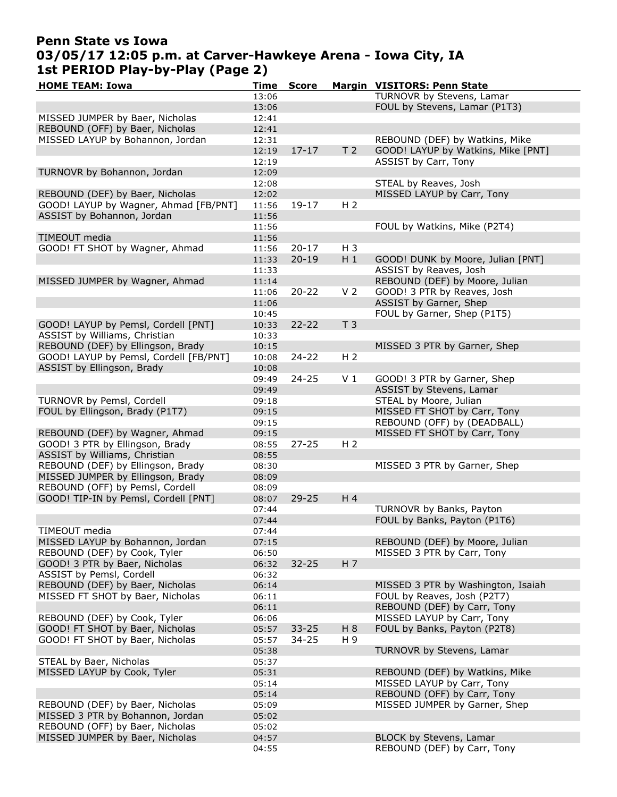### Penn State vs Iowa 03/05/17 12:05 p.m. at Carver-Hawkeye Arena - Iowa City, IA 1st PERIOD Play-by-Play (Page 2)

| <b>HOME TEAM: Iowa</b>                 | Time  | <b>Score</b> |                | Margin VISITORS: Penn State        |
|----------------------------------------|-------|--------------|----------------|------------------------------------|
|                                        | 13:06 |              |                | TURNOVR by Stevens, Lamar          |
|                                        | 13:06 |              |                | FOUL by Stevens, Lamar (P1T3)      |
| MISSED JUMPER by Baer, Nicholas        | 12:41 |              |                |                                    |
| REBOUND (OFF) by Baer, Nicholas        | 12:41 |              |                |                                    |
| MISSED LAYUP by Bohannon, Jordan       | 12:31 |              |                | REBOUND (DEF) by Watkins, Mike     |
|                                        | 12:19 | $17 - 17$    | T <sub>2</sub> | GOOD! LAYUP by Watkins, Mike [PNT] |
|                                        | 12:19 |              |                | ASSIST by Carr, Tony               |
| TURNOVR by Bohannon, Jordan            | 12:09 |              |                |                                    |
|                                        | 12:08 |              |                | STEAL by Reaves, Josh              |
| REBOUND (DEF) by Baer, Nicholas        | 12:02 |              |                | MISSED LAYUP by Carr, Tony         |
| GOOD! LAYUP by Wagner, Ahmad [FB/PNT]  | 11:56 | 19-17        | H <sub>2</sub> |                                    |
| ASSIST by Bohannon, Jordan             |       |              |                |                                    |
|                                        | 11:56 |              |                |                                    |
|                                        | 11:56 |              |                | FOUL by Watkins, Mike (P2T4)       |
| TIMEOUT media                          | 11:56 |              |                |                                    |
| GOOD! FT SHOT by Wagner, Ahmad         | 11:56 | $20 - 17$    | H 3            |                                    |
|                                        | 11:33 | $20 - 19$    | $H_1$          | GOOD! DUNK by Moore, Julian [PNT]  |
|                                        | 11:33 |              |                | ASSIST by Reaves, Josh             |
| MISSED JUMPER by Wagner, Ahmad         | 11:14 |              |                | REBOUND (DEF) by Moore, Julian     |
|                                        | 11:06 | $20 - 22$    | V <sub>2</sub> | GOOD! 3 PTR by Reaves, Josh        |
|                                        | 11:06 |              |                | ASSIST by Garner, Shep             |
|                                        | 10:45 |              |                | FOUL by Garner, Shep (P1T5)        |
| GOOD! LAYUP by Pemsl, Cordell [PNT]    | 10:33 | $22 - 22$    | T <sub>3</sub> |                                    |
| ASSIST by Williams, Christian          | 10:33 |              |                |                                    |
| REBOUND (DEF) by Ellingson, Brady      | 10:15 |              |                | MISSED 3 PTR by Garner, Shep       |
| GOOD! LAYUP by Pemsl, Cordell [FB/PNT] | 10:08 | $24 - 22$    | H <sub>2</sub> |                                    |
| ASSIST by Ellingson, Brady             | 10:08 |              |                |                                    |
|                                        | 09:49 | $24 - 25$    | V <sub>1</sub> | GOOD! 3 PTR by Garner, Shep        |
|                                        | 09:49 |              |                | ASSIST by Stevens, Lamar           |
| TURNOVR by Pemsl, Cordell              |       |              |                | STEAL by Moore, Julian             |
|                                        | 09:18 |              |                |                                    |
| FOUL by Ellingson, Brady (P1T7)        | 09:15 |              |                | MISSED FT SHOT by Carr, Tony       |
|                                        | 09:15 |              |                | REBOUND (OFF) by (DEADBALL)        |
| REBOUND (DEF) by Wagner, Ahmad         | 09:15 |              |                | MISSED FT SHOT by Carr, Tony       |
| GOOD! 3 PTR by Ellingson, Brady        | 08:55 | $27 - 25$    | H <sub>2</sub> |                                    |
| ASSIST by Williams, Christian          | 08:55 |              |                |                                    |
| REBOUND (DEF) by Ellingson, Brady      | 08:30 |              |                | MISSED 3 PTR by Garner, Shep       |
| MISSED JUMPER by Ellingson, Brady      | 08:09 |              |                |                                    |
| REBOUND (OFF) by Pemsl, Cordell        | 08:09 |              |                |                                    |
| GOOD! TIP-IN by Pemsl, Cordell [PNT]   | 08:07 | $29 - 25$    | H <sub>4</sub> |                                    |
|                                        | 07:44 |              |                | TURNOVR by Banks, Payton           |
|                                        | 07:44 |              |                | FOUL by Banks, Payton (P1T6)       |
| TIMEOUT media                          | 07:44 |              |                |                                    |
| MISSED LAYUP by Bohannon, Jordan       | 07:15 |              |                | REBOUND (DEF) by Moore, Julian     |
| REBOUND (DEF) by Cook, Tyler           | 06:50 |              |                | MISSED 3 PTR by Carr, Tony         |
| GOOD! 3 PTR by Baer, Nicholas          | 06:32 | $32 - 25$    | H <sub>7</sub> |                                    |
| ASSIST by Pemsl, Cordell               | 06:32 |              |                |                                    |
| REBOUND (DEF) by Baer, Nicholas        | 06:14 |              |                | MISSED 3 PTR by Washington, Isaiah |
| MISSED FT SHOT by Baer, Nicholas       | 06:11 |              |                | FOUL by Reaves, Josh (P2T7)        |
|                                        | 06:11 |              |                | REBOUND (DEF) by Carr, Tony        |
| REBOUND (DEF) by Cook, Tyler           |       |              |                |                                    |
|                                        | 06:06 |              |                | MISSED LAYUP by Carr, Tony         |
| GOOD! FT SHOT by Baer, Nicholas        | 05:57 | $33 - 25$    | H 8            | FOUL by Banks, Payton (P2T8)       |
| GOOD! FT SHOT by Baer, Nicholas        | 05:57 | 34-25        | H 9            |                                    |
|                                        | 05:38 |              |                | TURNOVR by Stevens, Lamar          |
| STEAL by Baer, Nicholas                | 05:37 |              |                |                                    |
| MISSED LAYUP by Cook, Tyler            | 05:31 |              |                | REBOUND (DEF) by Watkins, Mike     |
|                                        | 05:14 |              |                | MISSED LAYUP by Carr, Tony         |
|                                        | 05:14 |              |                | REBOUND (OFF) by Carr, Tony        |
| REBOUND (DEF) by Baer, Nicholas        | 05:09 |              |                | MISSED JUMPER by Garner, Shep      |
| MISSED 3 PTR by Bohannon, Jordan       | 05:02 |              |                |                                    |
| REBOUND (OFF) by Baer, Nicholas        | 05:02 |              |                |                                    |
| MISSED JUMPER by Baer, Nicholas        | 04:57 |              |                | BLOCK by Stevens, Lamar            |
|                                        | 04:55 |              |                | REBOUND (DEF) by Carr, Tony        |
|                                        |       |              |                |                                    |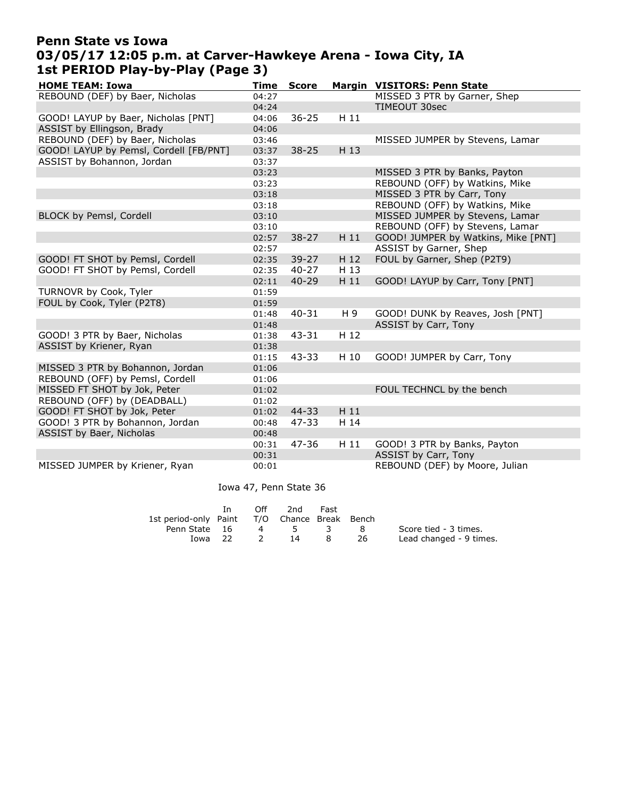# Penn State vs Iowa 03/05/17 12:05 p.m. at Carver-Hawkeye Arena - Iowa City, IA 1st PERIOD Play-by-Play (Page 3)

| <b>HOME TEAM: Iowa</b>                 | Time  | <b>Score</b> |      | Margin VISITORS: Penn State         |
|----------------------------------------|-------|--------------|------|-------------------------------------|
| REBOUND (DEF) by Baer, Nicholas        | 04:27 |              |      | MISSED 3 PTR by Garner, Shep        |
|                                        | 04:24 |              |      | <b>TIMEOUT 30sec</b>                |
| GOOD! LAYUP by Baer, Nicholas [PNT]    | 04:06 | $36 - 25$    | H 11 |                                     |
| ASSIST by Ellingson, Brady             | 04:06 |              |      |                                     |
| REBOUND (DEF) by Baer, Nicholas        | 03:46 |              |      | MISSED JUMPER by Stevens, Lamar     |
| GOOD! LAYUP by Pemsl, Cordell [FB/PNT] | 03:37 | $38 - 25$    | H 13 |                                     |
| ASSIST by Bohannon, Jordan             | 03:37 |              |      |                                     |
|                                        | 03:23 |              |      | MISSED 3 PTR by Banks, Payton       |
|                                        | 03:23 |              |      | REBOUND (OFF) by Watkins, Mike      |
|                                        | 03:18 |              |      | MISSED 3 PTR by Carr, Tony          |
|                                        | 03:18 |              |      | REBOUND (OFF) by Watkins, Mike      |
| BLOCK by Pemsl, Cordell                | 03:10 |              |      | MISSED JUMPER by Stevens, Lamar     |
|                                        | 03:10 |              |      | REBOUND (OFF) by Stevens, Lamar     |
|                                        | 02:57 | $38 - 27$    | H 11 | GOOD! JUMPER by Watkins, Mike [PNT] |
|                                        | 02:57 |              |      | ASSIST by Garner, Shep              |
| GOOD! FT SHOT by Pemsl, Cordell        | 02:35 | 39-27        | H 12 | FOUL by Garner, Shep (P2T9)         |
| GOOD! FT SHOT by Pemsl, Cordell        | 02:35 | $40 - 27$    | H 13 |                                     |
|                                        | 02:11 | $40 - 29$    | H 11 | GOOD! LAYUP by Carr, Tony [PNT]     |
| TURNOVR by Cook, Tyler                 | 01:59 |              |      |                                     |
| FOUL by Cook, Tyler (P2T8)             | 01:59 |              |      |                                     |
|                                        | 01:48 | $40 - 31$    | H 9  | GOOD! DUNK by Reaves, Josh [PNT]    |
|                                        | 01:48 |              |      | ASSIST by Carr, Tony                |
| GOOD! 3 PTR by Baer, Nicholas          | 01:38 | 43-31        | H 12 |                                     |
| ASSIST by Kriener, Ryan                | 01:38 |              |      |                                     |
|                                        | 01:15 | 43-33        | H 10 | GOOD! JUMPER by Carr, Tony          |
| MISSED 3 PTR by Bohannon, Jordan       | 01:06 |              |      |                                     |
| REBOUND (OFF) by Pemsl, Cordell        | 01:06 |              |      |                                     |
| MISSED FT SHOT by Jok, Peter           | 01:02 |              |      | FOUL TECHNCL by the bench           |
| REBOUND (OFF) by (DEADBALL)            | 01:02 |              |      |                                     |
| GOOD! FT SHOT by Jok, Peter            | 01:02 | 44-33        | H 11 |                                     |
| GOOD! 3 PTR by Bohannon, Jordan        | 00:48 | 47-33        | H 14 |                                     |
| ASSIST by Baer, Nicholas               | 00:48 |              |      |                                     |
|                                        | 00:31 | 47-36        | H 11 | GOOD! 3 PTR by Banks, Payton        |
|                                        | 00:31 |              |      | ASSIST by Carr, Tony                |
| MISSED JUMPER by Kriener, Ryan         | 00:01 |              |      | REBOUND (DEF) by Moore, Julian      |

Iowa 47, Penn State 36

|                                              | Off | 2nd  | Fast |     |                         |
|----------------------------------------------|-----|------|------|-----|-------------------------|
| 1st period-only Paint T/O Chance Break Bench |     |      |      |     |                         |
| Penn State 16                                | 4   | $-5$ | - 3  | - 8 | Score tied - 3 times.   |
| Iowa 22                                      |     | -14  | 8    | -26 | Lead changed - 9 times. |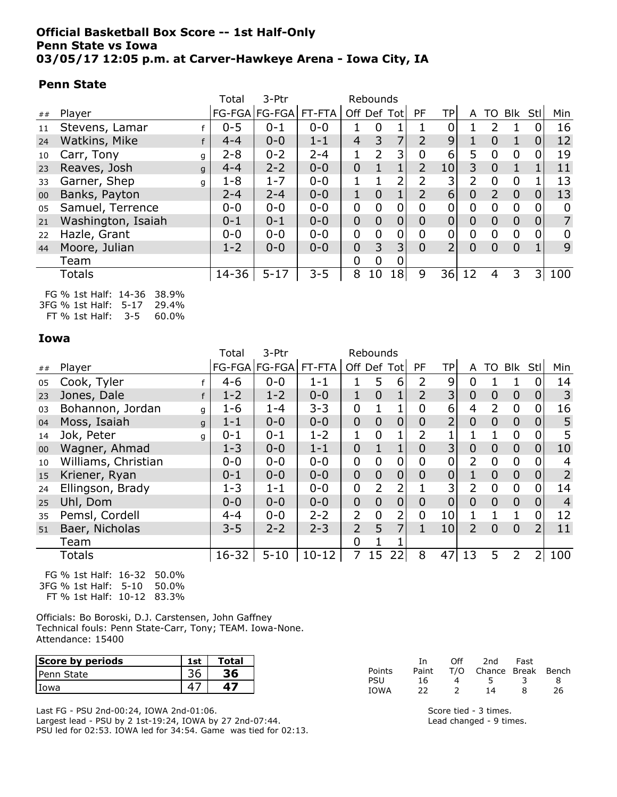### Official Basketball Box Score -- 1st Half-Only Penn State vs Iowa 03/05/17 12:05 p.m. at Carver-Hawkeye Arena - Iowa City, IA

### Penn State

|                    | Total   | 3-Ptr       |         |                | Rebounds                 |                |                |                 |                |                |                |                |     |
|--------------------|---------|-------------|---------|----------------|--------------------------|----------------|----------------|-----------------|----------------|----------------|----------------|----------------|-----|
| Player             |         |             |         |                |                          |                | <b>PF</b>      | TPI             | A              | TO             |                | -Stl           | Min |
| Stevens, Lamar     | $0 - 5$ | $0 - 1$     | $0 - 0$ |                | $\overline{0}$           |                |                | 0               |                | 2              |                | 0              | 16  |
| Watkins, Mike      | $4 - 4$ | $0 - 0$     | $1 - 1$ | $\overline{4}$ | 3                        |                | $\overline{2}$ | 9 <sub>1</sub>  |                | 0              |                | $\overline{0}$ | 12  |
| Carr, Tony         | $2 - 8$ | $0 - 2$     | $2 - 4$ | 1              | $\overline{2}$           | 3              | 0              | 6               | 5              | $\overline{0}$ | 0              | 0              | 19  |
| Reaves, Josh       | $4 - 4$ | $2 - 2$     | $0 - 0$ | $\overline{0}$ |                          |                | $\overline{2}$ | 10 <sub>l</sub> | 3              | $\overline{0}$ |                |                | 11  |
| Garner, Shep       | $1 - 8$ | $1 - 7$     | $0 - 0$ |                |                          | າ              | $\overline{2}$ | 3               | 2              | 0              | 0              |                | 13  |
| Banks, Payton      | $2 - 4$ | $2 - 4$     | $0 - 0$ | $\mathbf 1$    | 0                        |                | $\overline{2}$ | $6 \mid$        | $\overline{0}$ | 2              | $\Omega$       | $\overline{0}$ | 13  |
| Samuel, Terrence   | $0 - 0$ | $0 - 0$     | $0 - 0$ | $\overline{0}$ | $\overline{0}$           | $\mathbf 0$    | $\overline{0}$ | $\Omega$        | 0              | 0              | $\Omega$       | 0              | 0   |
| Washington, Isaiah | $0 - 1$ | $0 - 1$     | $0 - 0$ | $\overline{0}$ | $\overline{0}$           | $\overline{0}$ | $\overline{0}$ | 0               | $\overline{0}$ | $\overline{0}$ | $\overline{0}$ | $\overline{0}$ | 7   |
| Hazle, Grant       | $0 - 0$ | $0 - 0$     | $0 - 0$ | $\mathbf 0$    | $\overline{0}$           | 0              | 0              | 0               | 0              | $\overline{0}$ | $\Omega$       | 0              | 0   |
| Moore, Julian      | $1 - 2$ | $0 - 0$     | $0 - 0$ | $\overline{0}$ | 3                        | 3              | $\overline{0}$ | $\overline{2}$  | $\Omega$       | $\overline{0}$ | $\Omega$       |                | 9   |
| Team               |         |             |         | 0              | 0                        | 0              |                |                 |                |                |                |                |     |
| Totals             | 14-36   | $5 - 17$    | $3 - 5$ | 8              | 10                       |                | 9              | 36              | 12             | 4              | 3              | 3              | 100 |
|                    |         | g<br>g<br>q |         |                | FG-FGA   FG-FGA   FT-FTA |                | Off Def Tot    | 18 <sup>1</sup> |                |                |                |                | Blk |

FG % 1st Half: 14-36 38.9% 3FG % 1st Half: 5-17 29.4% FT % 1st Half: 3-5 60.0%

Iowa

|        |                       | Total     | 3-Ptr         |           |                | Rebounds         |                |                  |                 |                |                |                |                |                |
|--------|-----------------------|-----------|---------------|-----------|----------------|------------------|----------------|------------------|-----------------|----------------|----------------|----------------|----------------|----------------|
| ##     | Player                |           | FG-FGA FG-FGA | FT-FTA    |                |                  | Off Def Tot    | <b>PF</b>        | TP              | A              | TO             | Blk Stll       |                | Min            |
| 05     | Cook, Tyler           | $4 - 6$   | $0 - 0$       | $1 - 1$   | 1              | 5                | 6              | 2                | 9               | $\mathbf 0$    |                |                | 0              | 14             |
| 23     | Jones, Dale<br>f      | $1 - 2$   | $1 - 2$       | $0 - 0$   | $\mathbf{1}$   | $\overline{0}$   | $\mathbf{1}$   | $\overline{2}$   | 3               | $\overline{0}$ | $\mathbf 0$    | $\overline{0}$ | $\overline{0}$ | 3              |
| 03     | Bohannon, Jordan<br>g | $1 - 6$   | $1 - 4$       | $3 - 3$   | 0              |                  |                | 0                | 6               | 4              | 2              | $\mathbf 0$    | 0              | 16             |
| 04     | Moss, Isaiah<br>g     | $1 - 1$   | $0 - 0$       | $0 - 0$   | $\overline{0}$ | $\overline{0}$   | $\mathbf 0$    | $\overline{0}$   | $\overline{2}$  | $\overline{0}$ | $\overline{0}$ | $\overline{0}$ | $\overline{0}$ | 5              |
| 14     | Jok, Peter<br>q       | $0 - 1$   | $0 - 1$       | $1 - 2$   | 1              | $\overline{0}$   |                | 2                |                 |                |                | $\mathbf{0}$   | 0              | 5              |
| $00\,$ | Wagner, Ahmad         | $1 - 3$   | $0 - 0$       | $1 - 1$   | $\overline{0}$ | $\mathbf{1}$     | $\mathbf{1}$   | $\overline{0}$   | 3               | $\overline{0}$ | $\overline{0}$ | $\overline{0}$ | $\overline{0}$ | 10             |
| 10     | Williams, Christian   | $0 - 0$   | $0 - 0$       | $0 - 0$   | 0              | $\mathbf 0$      | 0              | 0                | 0               | 2              | 0              | $\mathbf 0$    | 0              | 4              |
| 15     | Kriener, Ryan         | $0 - 1$   | $0 - 0$       | $0 - 0$   | $\overline{0}$ | $\mathbf 0$      | $\mathbf 0$    | $\overline{0}$   | $\overline{0}$  |                | $\overline{0}$ | $\overline{0}$ | $\mathbf 0$    | $\overline{2}$ |
| 24     | Ellingson, Brady      | $1 - 3$   | $1 - 1$       | $0 - 0$   | 0              | $\overline{2}$   | 2              |                  | 3               | $\overline{2}$ | $\mathbf 0$    | $\mathbf 0$    | $\mathbf 0$    | 14             |
| 25     | Uhl, Dom              | $0 - 0$   | $0 - 0$       | $0 - 0$   | $\overline{0}$ | $\mathbf 0$      | $\overline{0}$ | $\overline{0}$   | 0               | $\overline{0}$ | $\overline{0}$ | $\overline{0}$ | $\mathbf 0$    | $\overline{4}$ |
| 35     | Pemsl, Cordell        | $4 - 4$   | $0 - 0$       | $2 - 2$   | 2              | $\boldsymbol{0}$ | 2              | $\boldsymbol{0}$ | 10              |                |                |                | 0              | 12             |
| 51     | Baer, Nicholas        | $3 - 5$   | $2 - 2$       | $2 - 3$   | $\overline{2}$ | 5                | $\overline{7}$ | 1                | 10 <sub>l</sub> | $\overline{2}$ | $\Omega$       | $\overline{0}$ | $\overline{2}$ | 11             |
|        | Team                  |           |               |           | 0              |                  |                |                  |                 |                |                |                |                |                |
|        | <b>Totals</b>         | $16 - 32$ | $5 - 10$      | $10 - 12$ |                | 15               | 22             | 8                | 47              | 13             | 5              | 2              |                | 100            |

FG % 1st Half: 16-32 50.0% 3FG % 1st Half: 5-10 50.0% FT % 1st Half: 10-12 83.3%

Officials: Bo Boroski, D.J. Carstensen, John Gaffney Technical fouls: Penn State-Carr, Tony; TEAM. Iowa-None. Attendance: 15400

| Score by periods   | <b>1st</b> | Total |
|--------------------|------------|-------|
| <b>IPenn State</b> |            |       |
| Iowa               |            |       |

Last FG - PSU 2nd-00:24, IOWA 2nd-01:06. Largest lead - PSU by 2 1st-19:24, IOWA by 27 2nd-07:44. PSU led for 02:53. IOWA led for 34:54. Game was tied for 02:13.

|             | Тn    | ∩ff | 2nd                    | Fast |    |
|-------------|-------|-----|------------------------|------|----|
| Points      | Paint |     | T/O Chance Break Bench |      |    |
| PSU         | 16.   | 4   | 5                      |      | 8  |
| <b>IOWA</b> | 22    |     | 14                     | я    | 26 |

Score tied - 3 times. Lead changed - 9 times.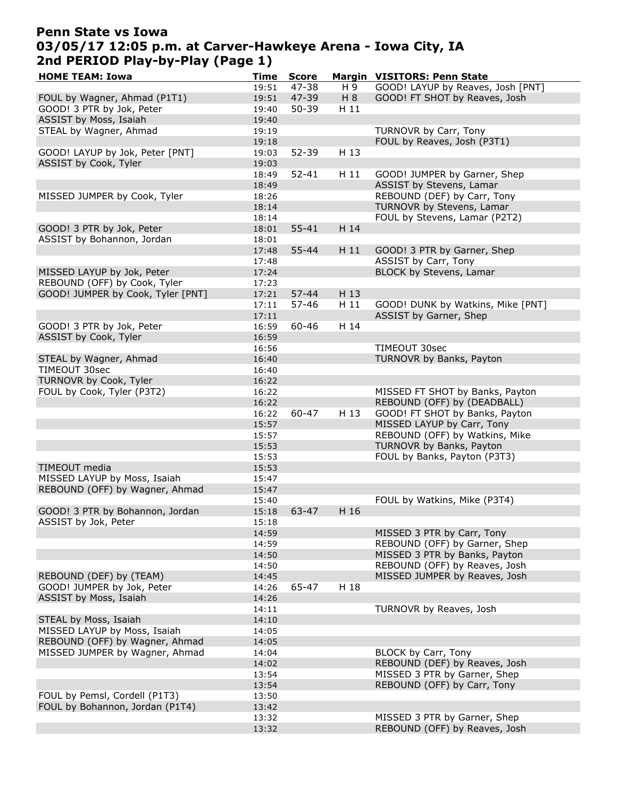### Penn State vs Iowa 03/05/17 12:05 p.m. at Carver-Hawkeye Arena - Iowa City, IA 2nd PERIOD Play-by-Play (Page 1)

| <b>HOME TEAM: Iowa</b>            | Time  | <b>Score</b> |      | Margin VISITORS: Penn State       |
|-----------------------------------|-------|--------------|------|-----------------------------------|
|                                   | 19:51 | 47-38        | H 9  | GOOD! LAYUP by Reaves, Josh [PNT] |
| FOUL by Wagner, Ahmad (P1T1)      | 19:51 | 47-39        | H8   | GOOD! FT SHOT by Reaves, Josh     |
| GOOD! 3 PTR by Jok, Peter         | 19:40 | $50 - 39$    | H 11 |                                   |
| ASSIST by Moss, Isaiah            | 19:40 |              |      |                                   |
| STEAL by Wagner, Ahmad            | 19:19 |              |      | TURNOVR by Carr, Tony             |
|                                   | 19:18 |              |      | FOUL by Reaves, Josh (P3T1)       |
| GOOD! LAYUP by Jok, Peter [PNT]   | 19:03 | 52-39        | H 13 |                                   |
| ASSIST by Cook, Tyler             | 19:03 |              |      |                                   |
|                                   | 18:49 | $52 - 41$    | H 11 | GOOD! JUMPER by Garner, Shep      |
|                                   | 18:49 |              |      | ASSIST by Stevens, Lamar          |
| MISSED JUMPER by Cook, Tyler      | 18:26 |              |      | REBOUND (DEF) by Carr, Tony       |
|                                   | 18:14 |              |      | TURNOVR by Stevens, Lamar         |
|                                   | 18:14 |              |      | FOUL by Stevens, Lamar (P2T2)     |
| GOOD! 3 PTR by Jok, Peter         | 18:01 | $55 - 41$    | H 14 |                                   |
| ASSIST by Bohannon, Jordan        | 18:01 |              |      |                                   |
|                                   | 17:48 | 55-44        | H 11 | GOOD! 3 PTR by Garner, Shep       |
|                                   | 17:48 |              |      | <b>ASSIST</b> by Carr, Tony       |
| MISSED LAYUP by Jok, Peter        | 17:24 |              |      | BLOCK by Stevens, Lamar           |
| REBOUND (OFF) by Cook, Tyler      | 17:23 |              |      |                                   |
| GOOD! JUMPER by Cook, Tyler [PNT] |       | $57 - 44$    | H 13 |                                   |
|                                   | 17:21 |              |      |                                   |
|                                   | 17:11 | 57-46        | H 11 | GOOD! DUNK by Watkins, Mike [PNT] |
|                                   | 17:11 |              |      | ASSIST by Garner, Shep            |
| GOOD! 3 PTR by Jok, Peter         | 16:59 | $60 - 46$    | H 14 |                                   |
| ASSIST by Cook, Tyler             | 16:59 |              |      |                                   |
|                                   | 16:56 |              |      | TIMEOUT 30sec                     |
| STEAL by Wagner, Ahmad            | 16:40 |              |      | TURNOVR by Banks, Payton          |
| TIMEOUT 30sec                     | 16:40 |              |      |                                   |
| TURNOVR by Cook, Tyler            | 16:22 |              |      |                                   |
| FOUL by Cook, Tyler (P3T2)        | 16:22 |              |      | MISSED FT SHOT by Banks, Payton   |
|                                   | 16:22 |              |      | REBOUND (OFF) by (DEADBALL)       |
|                                   | 16:22 | 60-47        | H 13 | GOOD! FT SHOT by Banks, Payton    |
|                                   | 15:57 |              |      | MISSED LAYUP by Carr, Tony        |
|                                   | 15:57 |              |      | REBOUND (OFF) by Watkins, Mike    |
|                                   | 15:53 |              |      | TURNOVR by Banks, Payton          |
|                                   | 15:53 |              |      | FOUL by Banks, Payton (P3T3)      |
| TIMEOUT media                     | 15:53 |              |      |                                   |
| MISSED LAYUP by Moss, Isaiah      | 15:47 |              |      |                                   |
| REBOUND (OFF) by Wagner, Ahmad    | 15:47 |              |      |                                   |
|                                   | 15:40 |              |      | FOUL by Watkins, Mike (P3T4)      |
| GOOD! 3 PTR by Bohannon, Jordan   | 15:18 | 63-47        | H 16 |                                   |
| ASSIST by Jok, Peter              | 15:18 |              |      |                                   |
|                                   | 14:59 |              |      | MISSED 3 PTR by Carr, Tony        |
|                                   | 14:59 |              |      | REBOUND (OFF) by Garner, Shep     |
|                                   | 14:50 |              |      | MISSED 3 PTR by Banks, Payton     |
|                                   | 14:50 |              |      | REBOUND (OFF) by Reaves, Josh     |
| REBOUND (DEF) by (TEAM)           | 14:45 |              |      | MISSED JUMPER by Reaves, Josh     |
| GOOD! JUMPER by Jok, Peter        | 14:26 | 65-47        | H 18 |                                   |
| ASSIST by Moss, Isaiah            | 14:26 |              |      |                                   |
|                                   | 14:11 |              |      | TURNOVR by Reaves, Josh           |
| STEAL by Moss, Isaiah             | 14:10 |              |      |                                   |
| MISSED LAYUP by Moss, Isaiah      | 14:05 |              |      |                                   |
| REBOUND (OFF) by Wagner, Ahmad    | 14:05 |              |      |                                   |
|                                   |       |              |      |                                   |
| MISSED JUMPER by Wagner, Ahmad    | 14:04 |              |      | BLOCK by Carr, Tony               |
|                                   | 14:02 |              |      | REBOUND (DEF) by Reaves, Josh     |
|                                   | 13:54 |              |      | MISSED 3 PTR by Garner, Shep      |
|                                   | 13:54 |              |      | REBOUND (OFF) by Carr, Tony       |
| FOUL by Pemsl, Cordell (P1T3)     | 13:50 |              |      |                                   |
| FOUL by Bohannon, Jordan (P1T4)   | 13:42 |              |      |                                   |
|                                   | 13:32 |              |      | MISSED 3 PTR by Garner, Shep      |
|                                   | 13:32 |              |      | REBOUND (OFF) by Reaves, Josh     |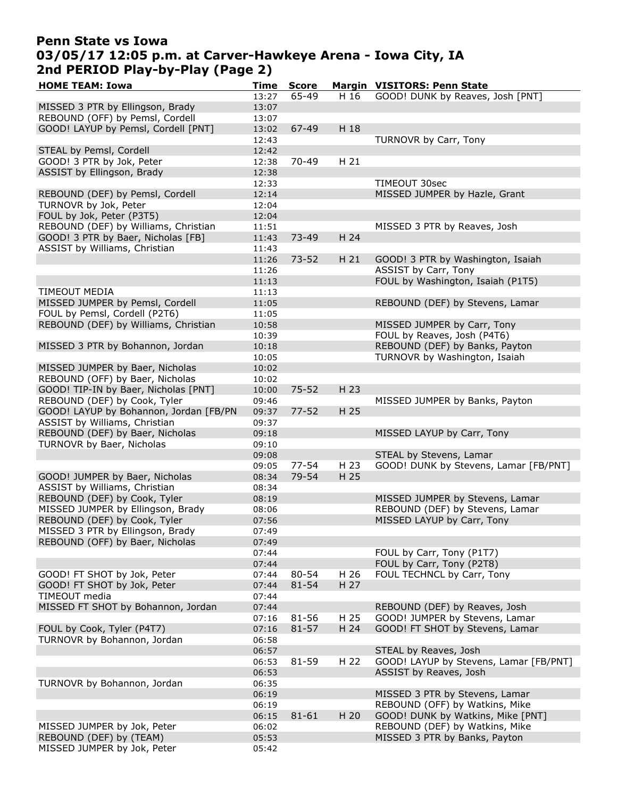### Penn State vs Iowa 03/05/17 12:05 p.m. at Carver-Hawkeye Arena - Iowa City, IA 2nd PERIOD Play-by-Play (Page 2)

| <b>HOME TEAM: Iowa</b>                 | Time  | <b>Score</b> |      | Margin VISITORS: Penn State            |
|----------------------------------------|-------|--------------|------|----------------------------------------|
|                                        | 13:27 | 65-49        | H 16 | GOOD! DUNK by Reaves, Josh [PNT]       |
| MISSED 3 PTR by Ellingson, Brady       | 13:07 |              |      |                                        |
| REBOUND (OFF) by Pemsl, Cordell        | 13:07 |              |      |                                        |
| GOOD! LAYUP by Pemsl, Cordell [PNT]    | 13:02 | 67-49        | H 18 |                                        |
|                                        | 12:43 |              |      | TURNOVR by Carr, Tony                  |
| STEAL by Pemsl, Cordell                | 12:42 |              |      |                                        |
| GOOD! 3 PTR by Jok, Peter              | 12:38 | 70-49        | H 21 |                                        |
| ASSIST by Ellingson, Brady             | 12:38 |              |      |                                        |
|                                        | 12:33 |              |      | TIMEOUT 30sec                          |
| REBOUND (DEF) by Pemsl, Cordell        |       |              |      | MISSED JUMPER by Hazle, Grant          |
|                                        | 12:14 |              |      |                                        |
| TURNOVR by Jok, Peter                  | 12:04 |              |      |                                        |
| FOUL by Jok, Peter (P3T5)              | 12:04 |              |      |                                        |
| REBOUND (DEF) by Williams, Christian   | 11:51 |              |      | MISSED 3 PTR by Reaves, Josh           |
| GOOD! 3 PTR by Baer, Nicholas [FB]     | 11:43 | 73-49        | H 24 |                                        |
| ASSIST by Williams, Christian          | 11:43 |              |      |                                        |
|                                        | 11:26 | $73 - 52$    | H 21 | GOOD! 3 PTR by Washington, Isaiah      |
|                                        | 11:26 |              |      | ASSIST by Carr, Tony                   |
|                                        | 11:13 |              |      | FOUL by Washington, Isaiah (P1T5)      |
| TIMEOUT MEDIA                          | 11:13 |              |      |                                        |
| MISSED JUMPER by Pemsl, Cordell        | 11:05 |              |      | REBOUND (DEF) by Stevens, Lamar        |
| FOUL by Pemsl, Cordell (P2T6)          | 11:05 |              |      |                                        |
| REBOUND (DEF) by Williams, Christian   | 10:58 |              |      | MISSED JUMPER by Carr, Tony            |
|                                        | 10:39 |              |      | FOUL by Reaves, Josh (P4T6)            |
| MISSED 3 PTR by Bohannon, Jordan       | 10:18 |              |      | REBOUND (DEF) by Banks, Payton         |
|                                        | 10:05 |              |      | TURNOVR by Washington, Isaiah          |
| MISSED JUMPER by Baer, Nicholas        | 10:02 |              |      |                                        |
| REBOUND (OFF) by Baer, Nicholas        | 10:02 |              |      |                                        |
| GOOD! TIP-IN by Baer, Nicholas [PNT]   | 10:00 | $75 - 52$    | H 23 |                                        |
|                                        |       |              |      |                                        |
| REBOUND (DEF) by Cook, Tyler           | 09:46 |              |      | MISSED JUMPER by Banks, Payton         |
| GOOD! LAYUP by Bohannon, Jordan [FB/PN | 09:37 | $77 - 52$    | H 25 |                                        |
| ASSIST by Williams, Christian          | 09:37 |              |      |                                        |
| REBOUND (DEF) by Baer, Nicholas        | 09:18 |              |      | MISSED LAYUP by Carr, Tony             |
| TURNOVR by Baer, Nicholas              | 09:10 |              |      |                                        |
|                                        | 09:08 |              |      | STEAL by Stevens, Lamar                |
|                                        | 09:05 | $77 - 54$    | H 23 | GOOD! DUNK by Stevens, Lamar [FB/PNT]  |
| GOOD! JUMPER by Baer, Nicholas         | 08:34 | 79-54        | H 25 |                                        |
| ASSIST by Williams, Christian          | 08:34 |              |      |                                        |
| REBOUND (DEF) by Cook, Tyler           | 08:19 |              |      | MISSED JUMPER by Stevens, Lamar        |
| MISSED JUMPER by Ellingson, Brady      | 08:06 |              |      | REBOUND (DEF) by Stevens, Lamar        |
| REBOUND (DEF) by Cook, Tyler           | 07:56 |              |      | MISSED LAYUP by Carr, Tony             |
| MISSED 3 PTR by Ellingson, Brady       | 07:49 |              |      |                                        |
| REBOUND (OFF) by Baer, Nicholas        | 07:49 |              |      |                                        |
|                                        | 07:44 |              |      | FOUL by Carr, Tony (P1T7)              |
|                                        | 07:44 |              |      | FOUL by Carr, Tony (P2T8)              |
| GOOD! FT SHOT by Jok, Peter            | 07:44 | 80-54        | H 26 | FOUL TECHNCL by Carr, Tony             |
| GOOD! FT SHOT by Jok, Peter            | 07:44 | $81 - 54$    | H 27 |                                        |
| TIMEOUT media                          | 07:44 |              |      |                                        |
| MISSED FT SHOT by Bohannon, Jordan     | 07:44 |              |      | REBOUND (DEF) by Reaves, Josh          |
|                                        | 07:16 | 81-56        | H 25 | GOOD! JUMPER by Stevens, Lamar         |
|                                        |       |              |      | GOOD! FT SHOT by Stevens, Lamar        |
| FOUL by Cook, Tyler (P4T7)             | 07:16 | $81 - 57$    | H 24 |                                        |
| TURNOVR by Bohannon, Jordan            | 06:58 |              |      |                                        |
|                                        | 06:57 |              |      | STEAL by Reaves, Josh                  |
|                                        | 06:53 | 81-59        | H 22 | GOOD! LAYUP by Stevens, Lamar [FB/PNT] |
|                                        | 06:53 |              |      | ASSIST by Reaves, Josh                 |
| TURNOVR by Bohannon, Jordan            | 06:35 |              |      |                                        |
|                                        | 06:19 |              |      | MISSED 3 PTR by Stevens, Lamar         |
|                                        | 06:19 |              |      | REBOUND (OFF) by Watkins, Mike         |
|                                        | 06:15 | $81 - 61$    | H 20 | GOOD! DUNK by Watkins, Mike [PNT]      |
| MISSED JUMPER by Jok, Peter            | 06:02 |              |      | REBOUND (DEF) by Watkins, Mike         |
| REBOUND (DEF) by (TEAM)                | 05:53 |              |      | MISSED 3 PTR by Banks, Payton          |
| MISSED JUMPER by Jok, Peter            | 05:42 |              |      |                                        |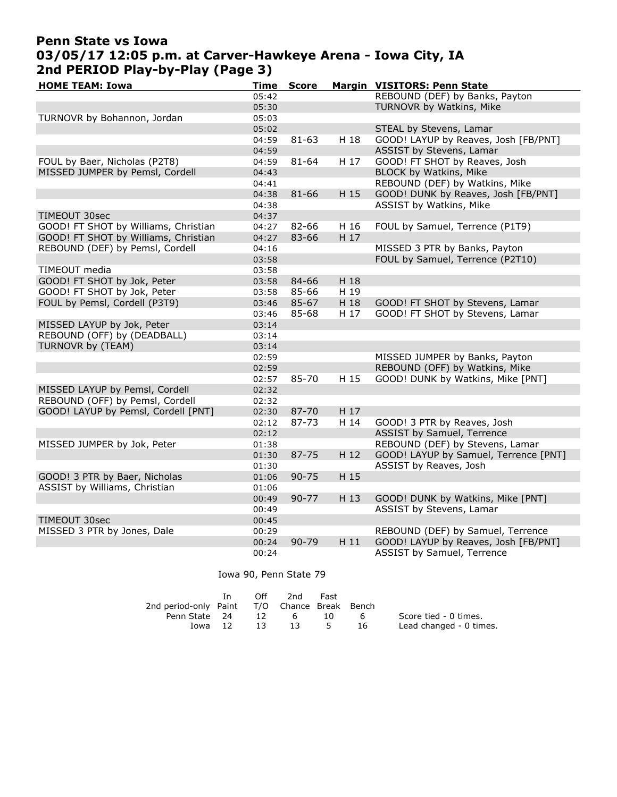# Penn State vs Iowa 03/05/17 12:05 p.m. at Carver-Hawkeye Arena - Iowa City, IA 2nd PERIOD Play-by-Play (Page 3)

| <b>HOME TEAM: Iowa</b>               | Time  | <b>Score</b> |      | Margin VISITORS: Penn State           |
|--------------------------------------|-------|--------------|------|---------------------------------------|
|                                      | 05:42 |              |      | REBOUND (DEF) by Banks, Payton        |
|                                      | 05:30 |              |      | TURNOVR by Watkins, Mike              |
| TURNOVR by Bohannon, Jordan          | 05:03 |              |      |                                       |
|                                      | 05:02 |              |      | STEAL by Stevens, Lamar               |
|                                      | 04:59 | 81-63        | H 18 | GOOD! LAYUP by Reaves, Josh [FB/PNT]  |
|                                      | 04:59 |              |      | ASSIST by Stevens, Lamar              |
| FOUL by Baer, Nicholas (P2T8)        | 04:59 | 81-64        | H 17 | GOOD! FT SHOT by Reaves, Josh         |
| MISSED JUMPER by Pemsl, Cordell      | 04:43 |              |      | <b>BLOCK by Watkins, Mike</b>         |
|                                      | 04:41 |              |      | REBOUND (DEF) by Watkins, Mike        |
|                                      | 04:38 | $81 - 66$    | H 15 | GOOD! DUNK by Reaves, Josh [FB/PNT]   |
|                                      | 04:38 |              |      | ASSIST by Watkins, Mike               |
| TIMEOUT 30sec                        | 04:37 |              |      |                                       |
| GOOD! FT SHOT by Williams, Christian | 04:27 | 82-66        | H 16 | FOUL by Samuel, Terrence (P1T9)       |
| GOOD! FT SHOT by Williams, Christian | 04:27 | 83-66        | H 17 |                                       |
| REBOUND (DEF) by Pemsl, Cordell      | 04:16 |              |      | MISSED 3 PTR by Banks, Payton         |
|                                      | 03:58 |              |      | FOUL by Samuel, Terrence (P2T10)      |
| TIMEOUT media                        | 03:58 |              |      |                                       |
| GOOD! FT SHOT by Jok, Peter          | 03:58 | 84-66        | H 18 |                                       |
| GOOD! FT SHOT by Jok, Peter          | 03:58 | 85-66        | H 19 |                                       |
| FOUL by Pemsl, Cordell (P3T9)        | 03:46 | 85-67        | H 18 | GOOD! FT SHOT by Stevens, Lamar       |
|                                      | 03:46 | 85-68        | H 17 | GOOD! FT SHOT by Stevens, Lamar       |
| MISSED LAYUP by Jok, Peter           | 03:14 |              |      |                                       |
| REBOUND (OFF) by (DEADBALL)          | 03:14 |              |      |                                       |
| TURNOVR by (TEAM)                    | 03:14 |              |      |                                       |
|                                      | 02:59 |              |      | MISSED JUMPER by Banks, Payton        |
|                                      | 02:59 |              |      | REBOUND (OFF) by Watkins, Mike        |
|                                      | 02:57 | 85-70        | H 15 | GOOD! DUNK by Watkins, Mike [PNT]     |
| MISSED LAYUP by Pemsl, Cordell       | 02:32 |              |      |                                       |
| REBOUND (OFF) by Pemsl, Cordell      | 02:32 |              |      |                                       |
| GOOD! LAYUP by Pemsl, Cordell [PNT]  | 02:30 | 87-70        | H 17 |                                       |
|                                      | 02:12 | 87-73        | H 14 | GOOD! 3 PTR by Reaves, Josh           |
|                                      | 02:12 |              |      | ASSIST by Samuel, Terrence            |
| MISSED JUMPER by Jok, Peter          | 01:38 |              |      | REBOUND (DEF) by Stevens, Lamar       |
|                                      | 01:30 | 87-75        | H 12 | GOOD! LAYUP by Samuel, Terrence [PNT] |
|                                      | 01:30 |              |      | ASSIST by Reaves, Josh                |
| GOOD! 3 PTR by Baer, Nicholas        | 01:06 | $90 - 75$    | H 15 |                                       |
| ASSIST by Williams, Christian        | 01:06 |              |      |                                       |
|                                      | 00:49 | $90 - 77$    | H 13 | GOOD! DUNK by Watkins, Mike [PNT]     |
|                                      | 00:49 |              |      | ASSIST by Stevens, Lamar              |
| TIMEOUT 30sec                        | 00:45 |              |      |                                       |
| MISSED 3 PTR by Jones, Dale          | 00:29 |              |      | REBOUND (DEF) by Samuel, Terrence     |
|                                      | 00:24 | 90-79        | H11  | GOOD! LAYUP by Reaves, Josh [FB/PNT]  |
|                                      | 00:24 |              |      | ASSIST by Samuel, Terrence            |

#### Iowa 90, Penn State 79

|                                              | In. | Off    | 2nd   | Fast |     |                         |
|----------------------------------------------|-----|--------|-------|------|-----|-------------------------|
| 2nd period-only Paint T/O Chance Break Bench |     |        |       |      |     |                         |
| Penn State 24                                |     | 12     | - 6 - | 10.  | - 6 | Score tied - 0 times.   |
| Iowa 12                                      |     | - 13 - |       | 13 5 | 16  | Lead changed - 0 times. |